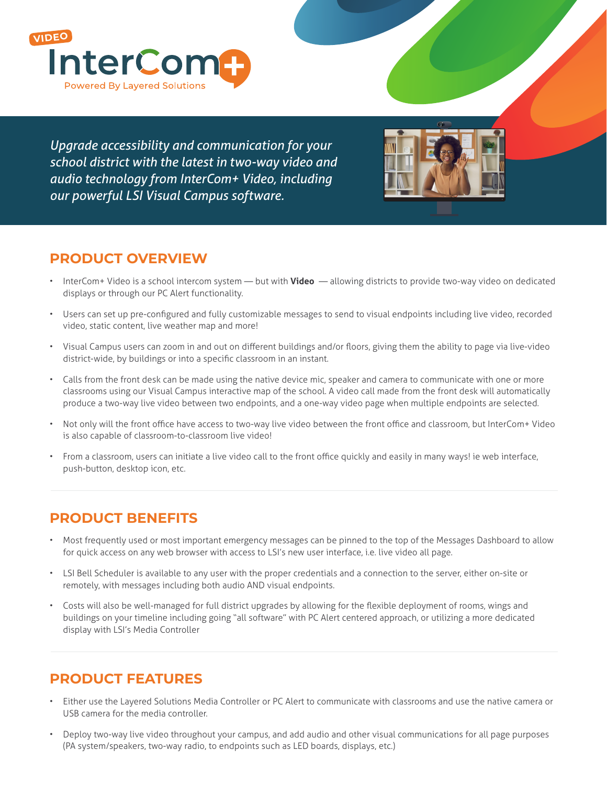

*Upgrade accessibility and communication for your school district with the latest in two-way video and audio technology from InterCom+ Video, including our powerful LSI Visual Campus software.*



## **PRODUCT OVERVIEW**

- InterCom+ Video is a school intercom system but with **Video** allowing districts to provide two-way video on dedicated displays or through our PC Alert functionality.
- Users can set up pre-configured and fully customizable messages to send to visual endpoints including live video, recorded video, static content, live weather map and more!
- Visual Campus users can zoom in and out on different buildings and/or floors, giving them the ability to page via live-video district-wide, by buildings or into a specific classroom in an instant.
- Calls from the front desk can be made using the native device mic, speaker and camera to communicate with one or more classrooms using our Visual Campus interactive map of the school. A video call made from the front desk will automatically produce a two-way live video between two endpoints, and a one-way video page when multiple endpoints are selected.
- Not only will the front office have access to two-way live video between the front office and classroom, but InterCom+ Video is also capable of classroom-to-classroom live video!
- From a classroom, users can initiate a live video call to the front office quickly and easily in many ways! ie web interface, push-button, desktop icon, etc.

## **PRODUCT BENEFITS**

- Most frequently used or most important emergency messages can be pinned to the top of the Messages Dashboard to allow for quick access on any web browser with access to LSI's new user interface, i.e. live video all page.
- LSI Bell Scheduler is available to any user with the proper credentials and a connection to the server, either on-site or remotely, with messages including both audio AND visual endpoints.
- Costs will also be well-managed for full district upgrades by allowing for the flexible deployment of rooms, wings and buildings on your timeline including going "all software" with PC Alert centered approach, or utilizing a more dedicated display with LSI's Media Controller

## **PRODUCT FEATURES**

- Either use the Layered Solutions Media Controller or PC Alert to communicate with classrooms and use the native camera or USB camera for the media controller.
- Deploy two-way live video throughout your campus, and add audio and other visual communications for all page purposes (PA system/speakers, two-way radio, to endpoints such as LED boards, displays, etc.)